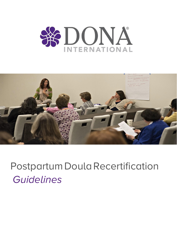



# Postpartum Doula Recertification *Guidelines*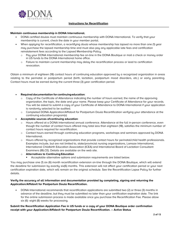

## **Instructions for Recertification**

#### **Maintain continuous membership in DONA International.**

- DONA certified doulas must maintain continuous membership with DONA International. To verify that your membership is current, check the date in your member portal.
- When applying for recertification, a recertifying doula whose membership has lapsed no more than one (1) year may purchase the lapsed membership time and must also pay any applicable late fees and certification reinstatement fees according to the Lapsed Membership Policy.
	- o Pau uour DONA International membership fee on-line in the DONA Boutique or mail a check or money order in US funds to the DONA International home office.
	- o Failure to maintain current membership may delay the recertification process or lead to certification revocation.

Obtain a minimum of eighteen (18) contact hours of continuing education approved by a recognized organization in areas relating to the perinatal or postpartum period (birth, lactation, postpartum mood disorders, etc.) or early parenting. Contact hours must be earned during the current three (3) year certification period.

#### • **Required documentation for continuing education**:

- Copy of the Certificate of Attendance indicating the number of hours earned, the name of the approving organization, the topic, the date and your name. Please keep your Certificate of Attendance for your records. You will be asked to submit a copy of your Certificate of Attendance to DONA International if your application is randomly selected to be audited.
- o Completed DONA Application/Affidavit for Postpartum Doula Recertification verifying your attendance at the continuing education program(s)
- **Acceptable sources of continuing education**:
	- Hours offered at a DONA International annual conference. Attendance at the full in-person conference, even though the number of contact hours offered may total less than eighteen (18), satisfies the minimum number of contact hours required for recertification.
	- o Contact hours earned through continuing education programs, workshops and seminars approved by DONA International.
	- o Hours offered by recognized organizations that provide contact hours for perinatal/child health professionals. Examples include, but are not limited to, state/provincial nursing organizations, Lamaze International, International Childbirth Education Association (ICEA) and International Board of Lactation Consultant Examiners (IBLCE). Details are available on the web site.

#### o **Alternatives to Continuing Education**

Acceptable alternative options and submission requirements are listed below.

You may purchase one (1) six (6) month recertification extension on-line through the DONA Boutique, which will extend the deadline for submission by exactly six(6) months. This extension will not affect your certification period or your next certification expiration date, which will remain on the original schedule. See the Recertification Lapse Policy for further details.

## **Verify the accuracy of all information and documentation provided by completing, signing and returning the Application/Affidavit for Postpartum Doula Recertification.**

• DONA International recommends that recertification applications are submitted two (2) or three (3) months in advance of the deadline, but they must be submitted no later than your certification expiration date. The link for the online submission process is made available once you purchase the Recertification Fee. Please allow six (6) -eight (8) weeks for processing.

## **Submit the Recertification Application Fee in US funds or a copy of your DONA Boutique order confirmation receipt with your Application/Affidavit for Postpartum Doula Recertification. – Active Status**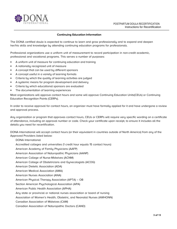

## **Continuing Education Information**

The DONA certified doula is expected to continue to learn and grow professionally and to expand and deepen her/his skills and knowledge by attending continuing education programs for professionals.

Professional organizations use a uniform unit of measurement to record participation in non-credit academic, professional and vocational programs. This serves a number of purposes:

- A uniform unit of measure for continuing education and training
- A nationally recognized unit of measure
- A concept that can be used by different sponsors
- A concept useful in a variety of learning formats
- Criteria by which the quality of learning activities are judged
- A systemic means for program development and delivery
- Criteria by which educational sponsors are evaluated
- The documentation of learning experiences

Most organizations will approve contact hours and some will approve Continuing Education Units(CEUs) or Continuing Education Recognition Points (CERPs).

In order to receive approval for contact hours, an organizer must have formally applied for it and have undergone a review and approval process.

Any organization or program that approves contact hours, CEUs or CERPs will require very specific wording on a certificate of attendance, including an approval number or code. Check your certificate upon receipt, to ensure it includes all the details you need for recertification.

DONA International will accept contact hours (or their equivalent in countries outside of North America) from any of the Approved Providers listed below:

## DONA International

Accredited colleges and universities (1 credit hour equals 15 contact hours)

American Academy of Family Physicians (AAFP)

American Association of Naturopathic Physicians (AANP)

American College of Nurse-Midwives (ACNM)

American College of Obstetricians and Gynecologists (ACOG)

American Dietetic Association (ADA)

American Medical Association (AMA)

American Nurses Association (ANA)

American Physical Therapy Association (APTA) – OB

Section American Psychological Association (APA)

American Public Health Association (APHA)

Any state or provincial or national nurses association or board of nursing

Association of Women's Health, Obstetric, and Neonatal Nurses (AWHONN)

Canadian Association of Midwives (CAM)

Canadian Association of Naturopathic Doctors (CAND)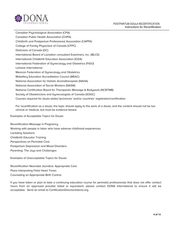



Canadian Psychological Association (CPA) Canadian Public Health Association (CHPA) Childbirth and Postpartum Professional Association (CAPPA) College of Family Physicians of Canada (CFPC) Dieticians of Canada (DC) International Board of Lactation consultant Examiners, Inc. (IBLCE) International Childbirth Education Association (ICEA) International Federation of Gynecology and Obstetrics (FIGO) Lamaze International Mexican Federation of Gynecology and Obstetrics Midwifery Education Accreditation Council (MEAC) National Association for Holistic Aromatherapists (NAHA) National Association of Social Workers (NASW) National Certification Board for Therapeutic Massage & Bodywork (NCBTMB) Society of Obstetricians and Gynecologists of Canada (SOGC) Courses required for doula states'/provinces' and/or countries' registration/certification

For recertification as a doula, the topic should apply to the work of a doula, and the content should not be too clinical or medical, but must be evidence-based.

Examples of Acceptable Topics for Doula:

Recertification Massage in Pregnancy Working with people in labor who have adverse childhood experiences Lactating Solutions Childbirth Educator Training Perspectives on Perinatal Care Postpartum Depression and Mood Disorders Parenting: The Joys and Challenges

Examples of Unacceptable Topics for Doula:

Recertification Neonatal Jaundice: Appropriate Care Plans Interpreting Fetal Heart Tones Counseling on Appropriate Birth Control

If you have taken or plan to take a continuing education course for perinatal professionals that does not offer contact hours from an approved provider listed or equivalent, please contact DONA International to ensure it will be [acceptable. Send an email to C](mailto:CertificationDirector@dona.org)ertificationDirector@dona.org.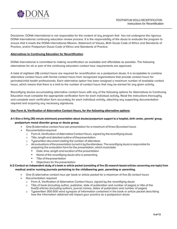

Disclaimer: DONA International is not responsible for the content of any program that has not undergone the rigorous DONA International continuing education review process. It is the responsibility of the doula to evaluate the program to ensure that it meets the DONA International Mission, Statement of Values, Birth Doula Code of Ethics and Standards of Practice, and/or Postpartum Doula Code of Ethics and Standards of Practice.

## **Alternatives to Continuing Education for Recertification**

DONA International is committed to making recertification as available and affordable as possible. The following alternatives for all or part of the continuing education contact hour requirements are approved.

A total of eighteen (18) contact hours are required for recertification as a postpartum doula. It is acceptable to combine alternative contact hours with formal contact hours from recognized organizations that provide contact hours for perinatal/child health professionals. Each alternative option has been assigned a maximum number of available contact hours, which means that there is a limit to the number of contact hours that may be earned for any given activity.

Recertifying doulas accumulating alternative contact hours with any of the following options for Alternatives to Continuing Education must complete the appropriate verification form for each individual activity. Read the instructions thoroughly and complete each verification form accurately for each individual activity, attaching any supporting documentation required and acquiring any necessary signatures.

## **Use Form A, Verification of Alternative Contact Hours, for the following alternative options:**

# **A-1: Give a thirty (30) minute (minimum) presentation about doulas/postpartum support to a hospital, birth center, parents' group, postpartum mood disorder group or doula group.**

- One (1) alternative contact hour per presentation for a maximum of three (3) contact hours
- Documentation required
	- o Form A, Verification of Alternative Contact Hours, signed by the recertifying doula
	- o Title, length and detailed outline of the presentation
	- o Typewritten document stating the number of attendees
	- $\circ$  All evaluations of the presentation turned in bu the attendees. The recertifuing doula is responsible for preparing the evaluation form for the presentation, which must state:
		- Date, time, length and location of the presentation
		- Name of the recertifuing doula who is presenting
		- Title of the presentation
		- Objectives for the presentation

## **A-2:Conduct an independent study of a book or article packet (consisting of five (5) research-based articles concerning one topic) from medical and/or nursing journals pertaining to the childbearing year, parenting or parenting.**

- One (1) alternative contact hour per book or article packet for a maximum of five (5) contact hours
- Documentation required
	- o Form A, Verification of Alternative Contact Hours, signed by the recertifying doula
	- $\circ$  Title of book (including author, publisher, date of publication and number of pages) or title of the five(5) articles (including authors, journal names, dates of publication and number of pages)
	- o Typewritten 300-500 word synopsis of information contained in the book or article packet describing how the information obtained will impact your practice as a postpartum doula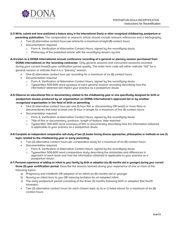

## **A-3: Write, submit and have published a feature story in the International Doula or other recognized childbearing, postpartum or**

- **parenting publication.** The comparative or research article should include relevant references and a bibliography.
	- Two (2) alternative contact hours per article for a maximum of eight (8) contact hours
	- Documentation required
		- o Form A, Verification of Alternative Contact Hours, signed by the recertifying doula
		- o Photocopy of the published article with the recertifying doula's by-line
- **A-4:Listen to a DONA International annual conference recording of a general or plenary session purchased from DONA International or the recording contractor.** Only general sessions (not concurrent sessions) recorded during your current three(3) year certification period qualify. The order form code will either indicate "GS" for a general session or indicate that it is a "plenary" session.
	- One (1) alternative contact hour per recording for a maximum of six (6) contact hours
	- Documentation required
		- o Form A, Verification of Alternative Contact Hours, signed by the recertifying doula
		- o Typewritten 500-600 word synopsis of each general session recording describing how the information obtained will impact your practice as a postpartum doula

## **A-5:Observe an educational film or documentary related to the childbearing year or one specifically designed for birth or postpartum doulas produced by an organization on DONA International's approved list or by another recognized organization in the field of birth or parenting.**

- One (1) alternative contact hour per one (1) hour film or documentary OR two(2) or more films or documentaries that total at least one (1) hour in length for a maximum of five (5) contact hours
- Documentation required
	- o Form A, Verification of Alternative Contact Hours, signed by the recertifying doula
	- o Title of film or documentary, producer, length of feature, date watched
	- o Typewritten 300-400 word summary of film or documentary describing how the information obtained is applicable to your practice as a postpartum doula

## **A-6:Complete an independent comparative self-study of two (2) books having diverse approaches, philosophies or methods on one (1) topic related to the childbearing year or early parenting.**

- Two (2) alternative contact hours per comparative study for a maximum of six (6) contact hours
- Documentation required
	- o Form A, Verification of Alternative Contact Hours, signed by the recertifying doula
	- o Typewritten 500-600 word comparative study describing the similarities and differences in approach of each book and how the information obtained is applicable to your practice as a postpartum doula

## **A-7: Personal experience of adding an infant to your family by birth or adoption (six (6) months old or younger) during your current**

**three (3) year certification period.** Describe the lessons learned during your experience of one or more of the following topics:

- a) Pregnancy and childbirth OR adoption of an infant six (6) months old or younger
- b) Nursing an infant born to you OR inducing lactation for an adopted infant
- c) The early postpartum period consisting of the three (3) months following birth or adoption (the fourth trimester).
- Two (2) alternative contact hours for each chosen topic a), b) or c) listed above for a maximum of six (6) contact hours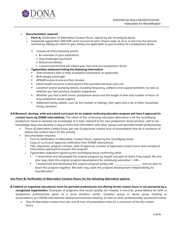

#### • **Documentation required**

- o **Form A,** Verification of Alternative Contact Hours, signed by the recertifying doula
- o A separate typewritten 300-500 word account of each chosen topic a), b) or c) and how the lessons learned by adding an infant to your family are applicable to your practice as a postpartum doula
	- Include all of the following points:
		- An overview of your experience
		- Any challenges you faced
		- Resources utilized
		- Lessons learned that will impact your own work as a postpartum doula
- o **Typewritten statement listing the following information:**
	- Date of infant's birth or date of adoption placement, as applicable
	- **■** Birth weight and length
	- APGAR scores at one and five minutes
	- Infant health concerns or time spent in the neonatal intensive care unit
	- **•** Lactation and/or pumping details, including frequency, patterns and supplementation, as well as whether you had previous lactation experience
	- Whether you had a birth and/or postpartum doula and the length of time and number of hours of any postpartum doula support
	- Additional family details, such as the number of siblings, their ages and a list of other household family members
- **A-8:Research, develop, write and submit curriculum for an original continuing education program and have it approved for contact hours by DONA International.** The intent of this continuing education alternative is for the recertifying postpartum doula to develop her knowledge of a topic relevant to her own postpartum doula practice, add to her knowledge base and develop a way to share that information with other doulas and perinatal health professionals.
	- Three (3) alternative contact hours per one (1) approved contact hour of presentation time for a maximum of twelve (12) contact hours for this activity
	- Documentation required
		- o Form A, Verification of Alternative Contact Hours, signed by the recertifying doula
		- o Copy of curriculum approval notification from DONA International
		- o Title, objectives, program number, date of approval, number of approved contact hours and name(s) of instructor(s) approved to present this program
		- o Typewritten statement signed by the recertifying doula confirming either
			- "I researched and developed this original program by myself and plan to teach it by myself. No one else may claim this original program development for continuing education."–OR–
			- "I researched and developed this original program jointly with and we plan to teach this program together. We both may claim this program development independently for recertification."

#### **Use Form B, Verification of Alternative Contact Hours, for the following alternative options:**

- **B-1:Attend an organized educational event for perinatal professionals not offering formal contact hours or not sponsored by a recognized organization.** Examples of programs that would qualify are hospital in-services, presentations for birth or postpartum professionals given at a local lactation center, lactation group or doula group meeting or presentations at a DONA International state/provincial/area meeting, as well as other professionally sponsored events.
	- One (1) alternative contact hour per one (1) hour of presentation time for a maximum of five (5) contact hours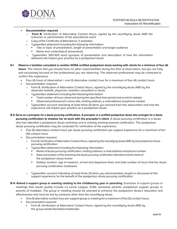

#### • **Documentation required**

- o **Form B**, Verification of Alternative Contact Hours, signed by the recertifying doula AND the instructor or administrator of the educational event
- o Copy of the Certificate ofAttendance, if available
- o Typewritten statement including the following information:
	- Title or topic of presentation, length of presentation and target audience
	- Name and credentials of presenter(s)
- o Typewritten 300-500 word synopsis of presentation and description of how the information obtained will impact your practice as a postpartum doula
- **B-2 Observe a lactation consultant or another DONA certified postpartum doula working with clients for a minimum of four (4) hours**. This means that you should have no other responsibilities during the time of observation, but you are fully and exclusively focused on the professional you are observing. The observed professional may be contacted to confirm this experience.
	- Four (4) hours of observation = one (1) alternative contact hour for a maximum of four (4) contact hours
	- Documentation required
		- o Form B, Verification of Alternative Contact Hours, signed by the recertifying doula AND by the observed midwife, physician, lactation consultant or doula
		- o Typewritten statement including the following information:
			- Total number of hours observed during the specified time period and on which date(s)
			- Observed professional's name, title, mailing address, e-mail address and phone number
		- o Typewritten account indicating at least three (3) items you learned from this observation and how the experience will impact your practice as a postpartum doula
- **B-3: Serve as a preceptor for a doula pursuing certifications. A preceptor is a certified postpartum doula who arranges for a doula pursuing certification to shadow her at work with the preceptor's client.** A doula pursuing certification is a doula who has attended a postpartum doula workshop and is actively working towards certification. The postpartum doula pursuing certification may be contacted for verification of the experience.
	- Five (5) alternative contact hours per doula pursuing certification per support experience for a maximum of ten (10) contact hours
	- Documentation required
		- o Form B,Verification ofAlternative Contact Hours, signed by the recertifying doula AND by the postpartum doula pursuing certification
		- o Typewritten statement including the following information:
			- Name of doula pursuing certification, mailing address, e-mail address and phone number
			- Date and location of the workshop the doula pursuing certification attended and the name of the postpartum doula trainer
			- **•** Date(s), location, age of newborn, arrival and departure times and total number of hours that the doula pursuing certification shadowed
		- o Typewritten account indicating at least three (3) items you demonstrated, taught or discussed at this support experience for the benefit of the postpartum doula pursuing certification
- **B-4: Attend a support group or meeting relating to the childbearing year or parenting.** Examples of support groups or meetings that would qualify include La Leche League, ICAN, bereaved parents, postpartum support groups or parents of multiples. The group or meeting should be selected to enhance the postpartum doula's education and effectiveness and must be led by someone other than the recertifying doula.
	- One (1) alternative contact hour per support group or meeting for a maximum of five (5) contact hours
	- Documentation required
		- Form B, Verification of Alternative Contact Hours, signed by the recertifying doula AND by the group leader/facilitator/moderator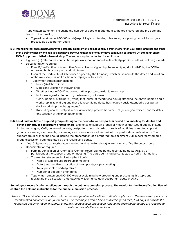

Type written statement indicating the number of people in attendance, the topic covered and the date and length of the meeting

- Typewritten statement (50-100 words) explaining how attending this meeting or support group will impact your practice as a postpartum doula
- B-5: Attend another entire DONA approved postpartum doula workshop, taught by a trainer other than your original trainer and other **than a trainer whose workshop you may have previously attended for alternative continuing education; OR attend an entire DONA approved birth doula workshop**. The trainer may becontacted for verification.
	- Eighteen (18) alternative contact hours per workshop attended in its entirety (partial credit will not be granted)
	- Documentation required
		- o Form B, Verification of Alternative Contact Hours, signed by the recertifying doula AND by the DONA approved birth or postpartum doula trainer
		- o Copy of the Certificate of Attendance signed by the trainer(s), which must indicate the dates and location of the workshop, as well as the recertifying doula's name
		- o Typewritten statement indicating
			- Name(s) of the trainers
				- Dates and location of the workshop
			- Whether it was a DONA approved birth or postpartum doula workshop
			- Include a signed statement by the trainer(s), as follows:

"I/We, [name(s) of trainer(s)], verify that [name of recertifying doula] attended the above-named doula workshop in its entirety and that this recertifying doula has not previously attended a postpartum doula workshop taught by me/us."

- If attending another postpartum doula workshop, provide the name(s) of your original trainer(s) and the dates and location of the original workshop
- **B-6: Lead and facilitate a support group relating to the perinatal or postpartum period or a meeting for doulas and other perinatal or postpartum professionals.** Examples of support groups or meetings that would qualify include La Leche League, ICAN, bereaved parents, postpartum mood disorder, parents of multiples or related support groups or meetings for parents; or meetings for doulas and/or other perinatal or postpartum professionals. The support group or meeting should include the presentation of a prepared topic(minimum 20minutes) followed by a group discussion, both facilitated by the recertifying doula.
	- One (1) alternative contact hour per meeting (minimum ofone hour) fora maximum of five (5) contact hours
	- **Documentation required** 
		- o Form B, Verification of Alternative Contact Hours, signed by the recertifying doula AND by a participant of the support group or meeting. The participant may be contacted to verify information.
		- o Typewritten statement indicating the following:
			- Name or type of support group or meeting
			- Date, time, length and location of the support group or meeting
			- Topic presented and objectives
			- Number of peoplein attendance
		- $\circ$  Tupewritten statement (100-300 words) explaining how preparing and presenting this topic and facilitating the discussion that followed will enhance your postpartum doula practice

#### **Submit your recertification application through the online submission process. The receipt for the Recertification Fee will contain the link and instructions for the online submission process.**

The DONA Certification Committee audits a percentage of recertification candidate applications. Please keep copies of all recertification documents for your records. The recertifying doula being audited is given thirty (30) days to provide the requested documentation in support of her/his recertification application. Unaudited recertifying doulas are required to retain records of all documentation.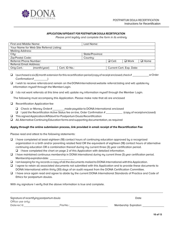

#### **APPLICATION/AFFIDAVIT FOR POSTPARTUM DOULA RECERTIFICATION**

*Please print legibly and complete the form in its entirety*

| First and Middle Name:                   |  |               | Last Name:               |             |             |             |
|------------------------------------------|--|---------------|--------------------------|-------------|-------------|-------------|
| Your Name for Web Site Referral Listing: |  |               |                          |             |             |             |
| <b>Mailing Address:</b>                  |  |               |                          |             |             |             |
| City:                                    |  |               | State/Province:          |             |             |             |
| Zip/Postal Code:                         |  |               | Country:                 |             |             |             |
| Referral Phone Number:                   |  |               |                          | $\Box$ Cell | $\Box$ Work | $\Box$ Home |
| <b>Referral Email Address:</b>           |  |               |                          |             |             |             |
| Orig.Cert.:<br>(month/year)              |  | Cert. ID No.: | Current Cert. Exp. Date: |             |             |             |

- ❑ Ipurchased a six (6) month extension forthis recertification period (copy ofreceipt enclosed;check# orOrder Confirmation# )
- ❑ I wish to receive referrals and remain on the DONA International website referral listing and will update my information myself through the Member Login.
- ❑ I do not want referrals at this time and will update my information myself through the Member Login.

The following must accompany this Application. Please make note that all are enclosed

- ❑ Recertification Application fee
	- ❑ Check or Money Order# made payable to DONA International enclosed
	- ❑ I paid the Recertification Active Status fee on-line, Order Confirmation # (copy of receipt enclosed)
- ❑ This signed Application/Affidavit for Postpartum Doula Recertification
- ❑ All Alternative Continuing Education forms and supporting documentation, as required

#### **Apply through the online submission process, link provided in email receipt of the Recertification Fee**

Please read and attest to the following statements:

- ❑ I have completed at least eighteen (18) contact hours of continuing education approved by a recognized organization in a birth and/or parenting related field OR the equivalent of eighteen (18) contact hours of alternative continuing education OR a combination thereof during my current three (3) year certification period.
	- ❑ I have completed the chart on page 2 of this Application with detailed information.
- ❑ I have maintained continuous membership in DONA International during my current three (3) year certification period. Membership expiration date:
- ❑ I am keeping for my records a copy ofall the documents mailed to DONA International with this Application.
- ❑ I agree to retain all associated documents not submitted with this Application and to provide these documents to DONA International within thirty (30) days of an audit request from the DONA Certification Committee.
- ❑ I have once again read and agree to abide by the current DONA International Standards of Practice and Code of Ethics for postpartum doulas.

With my signature I verify that the above information is true and complete.

| Signature of recertifying postpartum doula |           | Date                   |
|--------------------------------------------|-----------|------------------------|
| Office use only:                           |           |                        |
| Daterec'd:                                 | File No.: | Membership Expiration: |
|                                            |           |                        |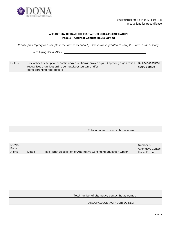

# **APPLICATION/AFFIDAVIT FOR POSTPARTUM DOULA RECERTIFICATION Page 2 – Chart of Contact Hours Earned**

*Please print legibly and complete the form in its entirety. Permission is granted to copy this form, as necessary*

Recertifying Doula'sName:

| Date(s) | Title or brief description of continuing education approved by a<br>recognized organization in a perinatal, postpartum and/or<br>early parenting related field | Approving organization | Number of contact<br>hours earned |
|---------|----------------------------------------------------------------------------------------------------------------------------------------------------------------|------------------------|-----------------------------------|
|         |                                                                                                                                                                |                        |                                   |
|         |                                                                                                                                                                |                        |                                   |
|         |                                                                                                                                                                |                        |                                   |
|         |                                                                                                                                                                |                        |                                   |
|         |                                                                                                                                                                |                        |                                   |
|         |                                                                                                                                                                |                        |                                   |
|         |                                                                                                                                                                |                        |                                   |
|         |                                                                                                                                                                |                        |                                   |
|         |                                                                                                                                                                |                        |                                   |
|         | Total number of contact hours earned                                                                                                                           |                        |                                   |

| <b>DONA</b> |         |                                                                      | Number of                  |
|-------------|---------|----------------------------------------------------------------------|----------------------------|
| Form        |         |                                                                      | <b>Alternative Contact</b> |
| A or B      | Date(s) | Title / Brief Description of Alternative Continuing Education Option | <b>Hours Earned</b>        |
|             |         |                                                                      |                            |
|             |         |                                                                      |                            |
|             |         |                                                                      |                            |
|             |         |                                                                      |                            |
|             |         |                                                                      |                            |
|             |         |                                                                      |                            |
|             |         |                                                                      |                            |
|             |         |                                                                      |                            |
|             |         |                                                                      |                            |
|             |         | Total number of alternative contact hours earned                     |                            |
|             |         |                                                                      |                            |
|             |         | TOTALOFALLCONTACTHOURSEARNED:                                        |                            |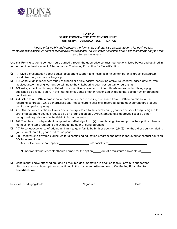

## **FORM A VERIFICATION OF ALTERNATIVE CONTACT HOURS FOR POSTPARTUM DOULA RECERTIFICATION**

*Please print legibly and complete the form in its entirety. Use a separate form for each option. No more than the maximum number of earned alternative contact hours allowed per option. Permission is granted to copy this form as often as necessary.* 

Use this **Form A** to verify contact hours earned through the alternative contact hour options listed below and outlined in further detail in the document, Alternatives to Continuing Education for Recertification:

- ❑ A-1 Give a presentation about doulas/postpartum support to a hospital, birth center, parents' group, postpartum mood disorder group or doula group
- ❑ A-2 Conduct an independent study of a book or article packet (consisting of five (5) research-based articles) from medical and/or nursing journals pertaining to the childbearing year, postpartum or parenting.
- ❑ A-3 Write, submit and have published a comparative or research article with references and a bibliography published as a feature story in the International Doula or other recognized childbearing, postpartum or parenting publications.
- ❑ A-4 Listen to a DONA International annual conference recording purchased from DONA International or the recording contractor. Only general sessions (not concurrent sessions) recorded during your current three (3) year certification period qualify.
- ❑ A-5 Observe an educational film or documentary related to the childbearing year or one specifically designed for birth or postpartum doulas produced by an organization on DONA International's approved list or by other recognized organizations in the field of birth or parenting.
- ❑ A-6 Complete an independent comparative self-study of two (2) books having diverse approaches, philosophies or methods on a topic related to the childbearing year or early parenting.
- ❑ A-7 Personal experience of adding an infant to your family by birth or adoption (six (6) months old or younger) during your current three (3) year certification period.
- ❑ A-8 Research and develop curriculum for a continuing education program and have it approved for contact hours by DONA International.

Alternative contact hour option: Date completed:

Numberof alternativecontacthours earned for thisoption out of a maximum allowable of

❑ Iconfirm that I have attached any and all required documentation in addition to this **Form A** to support the alternative contact hour option and outlined in the document, **Alternatives to Continuing Education for Recertification.**

Nameof recertifyingdoula and the state of the Signature Signature Date Date